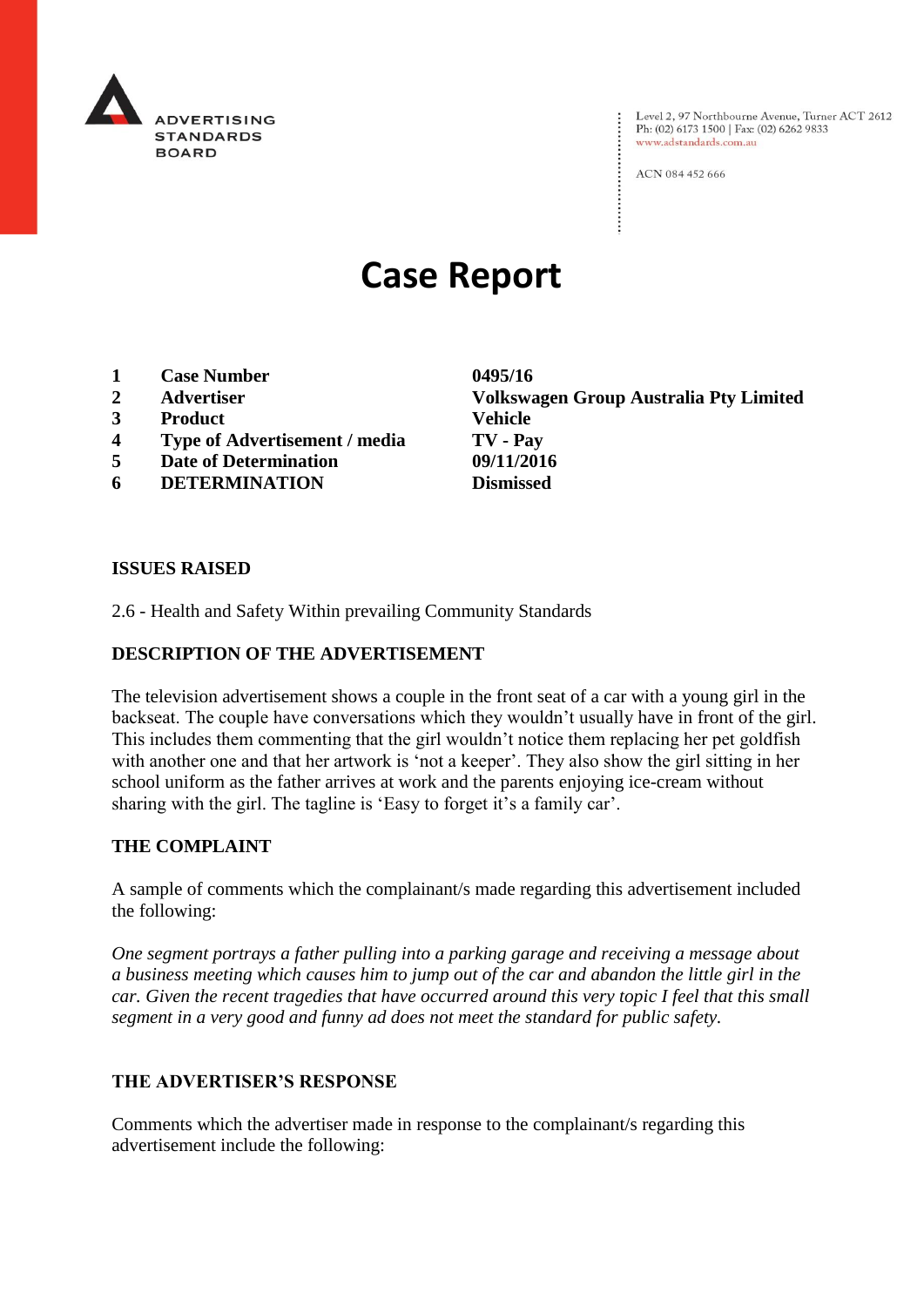

Level 2, 97 Northbourne Avenue, Turner ACT 2612<br>Ph: (02) 6173 1500 | Fax: (02) 6262 9833 www.adstandards.com.au

ACN 084 452 666

# **Case Report**

- **1 Case Number 0495/16**
- 
- **3 Product Vehicle**
- **4 Type of Advertisement / media TV - Pay**
- **5 Date of Determination 09/11/2016**
- **6 DETERMINATION Dismissed**

**2 Advertiser Volkswagen Group Australia Pty Limited**

#### **ISSUES RAISED**

2.6 - Health and Safety Within prevailing Community Standards

### **DESCRIPTION OF THE ADVERTISEMENT**

The television advertisement shows a couple in the front seat of a car with a young girl in the backseat. The couple have conversations which they wouldn't usually have in front of the girl. This includes them commenting that the girl wouldn't notice them replacing her pet goldfish with another one and that her artwork is 'not a keeper'. They also show the girl sitting in her school uniform as the father arrives at work and the parents enjoying ice-cream without sharing with the girl. The tagline is 'Easy to forget it's a family car'.

#### **THE COMPLAINT**

A sample of comments which the complainant/s made regarding this advertisement included the following:

*One segment portrays a father pulling into a parking garage and receiving a message about a business meeting which causes him to jump out of the car and abandon the little girl in the car. Given the recent tragedies that have occurred around this very topic I feel that this small segment in a very good and funny ad does not meet the standard for public safety.*

#### **THE ADVERTISER'S RESPONSE**

Comments which the advertiser made in response to the complainant/s regarding this advertisement include the following: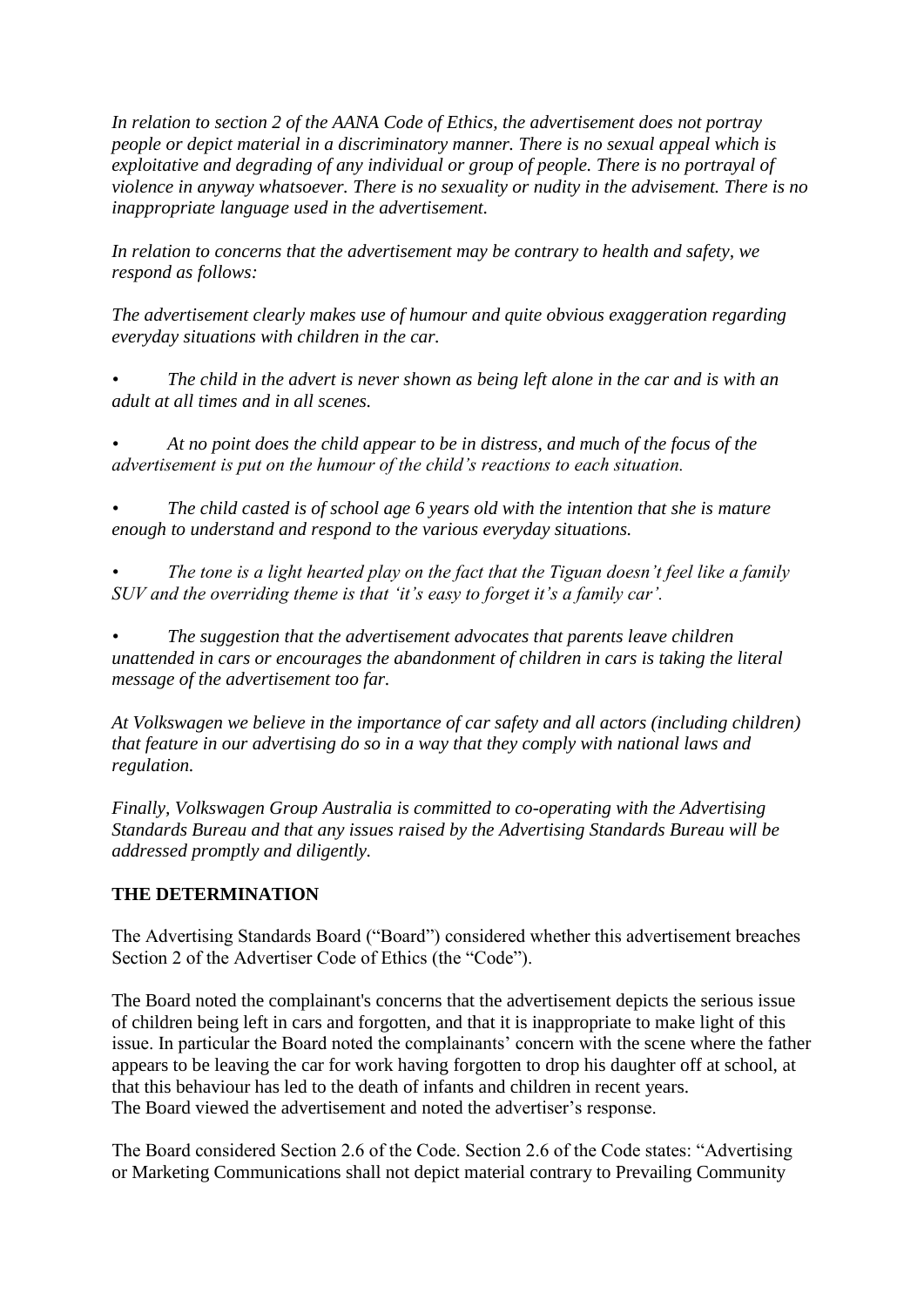*In relation to section 2 of the AANA Code of Ethics, the advertisement does not portray people or depict material in a discriminatory manner. There is no sexual appeal which is exploitative and degrading of any individual or group of people. There is no portrayal of violence in anyway whatsoever. There is no sexuality or nudity in the advisement. There is no inappropriate language used in the advertisement.*

*In relation to concerns that the advertisement may be contrary to health and safety, we respond as follows:*

*The advertisement clearly makes use of humour and quite obvious exaggeration regarding everyday situations with children in the car.*

*• The child in the advert is never shown as being left alone in the car and is with an adult at all times and in all scenes.*

*• At no point does the child appear to be in distress, and much of the focus of the advertisement is put on the humour of the child's reactions to each situation.*

*• The child casted is of school age 6 years old with the intention that she is mature enough to understand and respond to the various everyday situations.*

*• The tone is a light hearted play on the fact that the Tiguan doesn't feel like a family SUV and the overriding theme is that 'it's easy to forget it's a family car'.*

*• The suggestion that the advertisement advocates that parents leave children unattended in cars or encourages the abandonment of children in cars is taking the literal message of the advertisement too far.*

*At Volkswagen we believe in the importance of car safety and all actors (including children) that feature in our advertising do so in a way that they comply with national laws and regulation.*

*Finally, Volkswagen Group Australia is committed to co-operating with the Advertising Standards Bureau and that any issues raised by the Advertising Standards Bureau will be addressed promptly and diligently.*

## **THE DETERMINATION**

The Advertising Standards Board ("Board") considered whether this advertisement breaches Section 2 of the Advertiser Code of Ethics (the "Code").

The Board noted the complainant's concerns that the advertisement depicts the serious issue of children being left in cars and forgotten, and that it is inappropriate to make light of this issue. In particular the Board noted the complainants' concern with the scene where the father appears to be leaving the car for work having forgotten to drop his daughter off at school, at that this behaviour has led to the death of infants and children in recent years. The Board viewed the advertisement and noted the advertiser's response.

The Board considered Section 2.6 of the Code. Section 2.6 of the Code states: "Advertising or Marketing Communications shall not depict material contrary to Prevailing Community